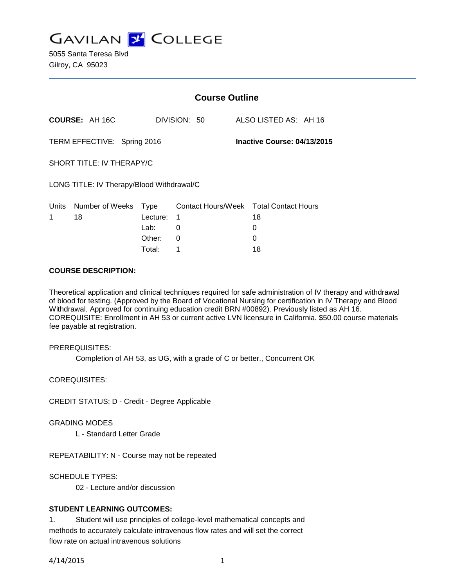

5055 Santa Teresa Blvd Gilroy, CA 95023

|                                                            |                       | <b>Course Outline</b> |              |                                              |  |
|------------------------------------------------------------|-----------------------|-----------------------|--------------|----------------------------------------------|--|
|                                                            | <b>COURSE: AH 16C</b> |                       | DIVISION: 50 | ALSO LISTED AS: AH 16                        |  |
| TERM EFFECTIVE: Spring 2016<br>Inactive Course: 04/13/2015 |                       |                       |              |                                              |  |
| SHORT TITLE: IV THERAPY/C                                  |                       |                       |              |                                              |  |
| LONG TITLE: IV Therapy/Blood Withdrawal/C                  |                       |                       |              |                                              |  |
| Units<br>1                                                 | Number of Weeks<br>18 | Type<br>Lecture:      | 1            | Contact Hours/Week Total Contact Hours<br>18 |  |
|                                                            |                       | Lab:                  | 0            | 0                                            |  |
|                                                            |                       | Other:                | 0            | 0                                            |  |

Total: 1 18

### **COURSE DESCRIPTION:**

Theoretical application and clinical techniques required for safe administration of IV therapy and withdrawal of blood for testing. (Approved by the Board of Vocational Nursing for certification in IV Therapy and Blood Withdrawal. Approved for continuing education credit BRN #00892). Previously listed as AH 16. COREQUISITE: Enrollment in AH 53 or current active LVN licensure in California. \$50.00 course materials fee payable at registration.

PREREQUISITES:

Completion of AH 53, as UG, with a grade of C or better., Concurrent OK

COREQUISITES:

CREDIT STATUS: D - Credit - Degree Applicable

GRADING MODES

L - Standard Letter Grade

REPEATABILITY: N - Course may not be repeated

SCHEDULE TYPES:

02 - Lecture and/or discussion

## **STUDENT LEARNING OUTCOMES:**

1. Student will use principles of college-level mathematical concepts and methods to accurately calculate intravenous flow rates and will set the correct flow rate on actual intravenous solutions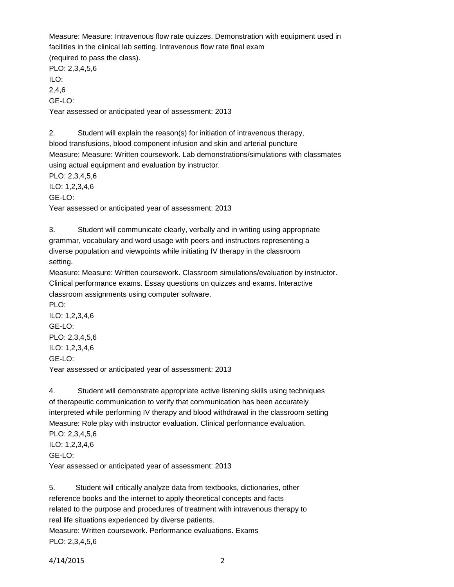Measure: Measure: Intravenous flow rate quizzes. Demonstration with equipment used in facilities in the clinical lab setting. Intravenous flow rate final exam (required to pass the class). PLO: 2,3,4,5,6 ILO: 2,4,6 GE-LO: Year assessed or anticipated year of assessment: 2013

2. Student will explain the reason(s) for initiation of intravenous therapy, blood transfusions, blood component infusion and skin and arterial puncture Measure: Measure: Written coursework. Lab demonstrations/simulations with classmates using actual equipment and evaluation by instructor. PLO: 2,3,4,5,6 ILO: 1,2,3,4,6

GE-LO:

Year assessed or anticipated year of assessment: 2013

3. Student will communicate clearly, verbally and in writing using appropriate grammar, vocabulary and word usage with peers and instructors representing a diverse population and viewpoints while initiating IV therapy in the classroom setting.

Measure: Measure: Written coursework. Classroom simulations/evaluation by instructor. Clinical performance exams. Essay questions on quizzes and exams. Interactive classroom assignments using computer software.

PLO: ILO: 1,2,3,4,6 GE-LO: PLO: 2,3,4,5,6 ILO: 1,2,3,4,6 GE-LO:

Year assessed or anticipated year of assessment: 2013

4. Student will demonstrate appropriate active listening skills using techniques of therapeutic communication to verify that communication has been accurately interpreted while performing IV therapy and blood withdrawal in the classroom setting Measure: Role play with instructor evaluation. Clinical performance evaluation. PLO: 2,3,4,5,6 ILO: 1,2,3,4,6 GE-LO: Year assessed or anticipated year of assessment: 2013

5. Student will critically analyze data from textbooks, dictionaries, other reference books and the internet to apply theoretical concepts and facts related to the purpose and procedures of treatment with intravenous therapy to real life situations experienced by diverse patients. Measure: Written coursework. Performance evaluations. Exams PLO: 2,3,4,5,6

4/14/2015 2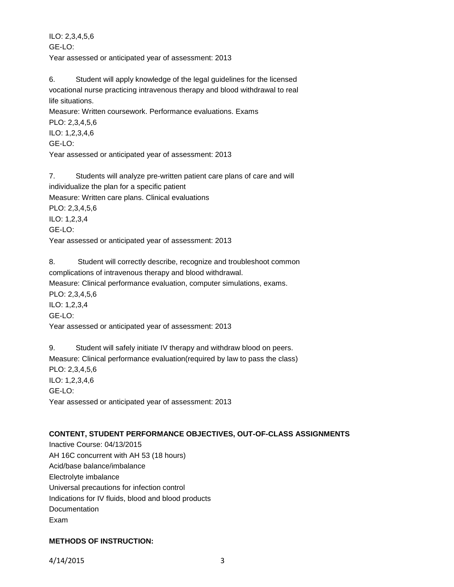ILO: 2,3,4,5,6 GE-LO: Year assessed or anticipated year of assessment: 2013

6. Student will apply knowledge of the legal guidelines for the licensed vocational nurse practicing intravenous therapy and blood withdrawal to real life situations.

Measure: Written coursework. Performance evaluations. Exams

PLO: 2,3,4,5,6 ILO: 1,2,3,4,6 GE-LO:

Year assessed or anticipated year of assessment: 2013

7. Students will analyze pre-written patient care plans of care and will individualize the plan for a specific patient Measure: Written care plans. Clinical evaluations PLO: 2,3,4,5,6 ILO: 1,2,3,4 GE-LO: Year assessed or anticipated year of assessment: 2013

8. Student will correctly describe, recognize and troubleshoot common complications of intravenous therapy and blood withdrawal. Measure: Clinical performance evaluation, computer simulations, exams. PLO: 2,3,4,5,6 ILO: 1,2,3,4 GE-LO: Year assessed or anticipated year of assessment: 2013

9. Student will safely initiate IV therapy and withdraw blood on peers. Measure: Clinical performance evaluation(required by law to pass the class) PLO: 2,3,4,5,6 ILO: 1,2,3,4,6 GE-LO: Year assessed or anticipated year of assessment: 2013

# **CONTENT, STUDENT PERFORMANCE OBJECTIVES, OUT-OF-CLASS ASSIGNMENTS**

Inactive Course: 04/13/2015 AH 16C concurrent with AH 53 (18 hours) Acid/base balance/imbalance Electrolyte imbalance Universal precautions for infection control Indications for IV fluids, blood and blood products **Documentation** Exam

# **METHODS OF INSTRUCTION:**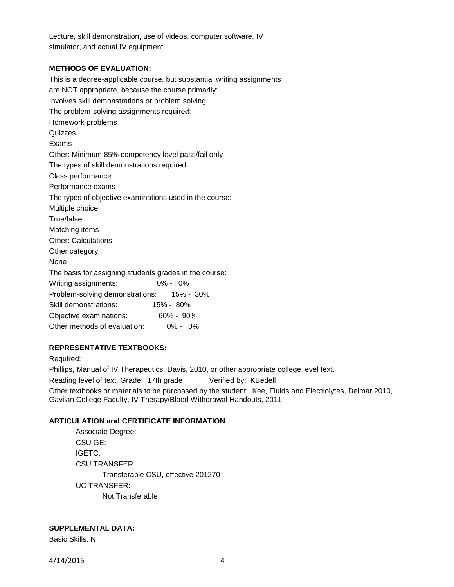Lecture, skill demonstration, use of videos, computer software, IV simulator, and actual IV equipment.

#### **METHODS OF EVALUATION:**

This is a degree-applicable course, but substantial writing assignments are NOT appropriate, because the course primarily: Involves skill demonstrations or problem solving The problem-solving assignments required: Homework problems **Quizzes** Exams Other: Minimum 85% competency level pass/fail only The types of skill demonstrations required: Class performance Performance exams The types of objective examinations used in the course: Multiple choice True/false Matching items Other: Calculations Other category: None The basis for assigning students grades in the course: Writing assignments: 0% - 0% Problem-solving demonstrations: 15% - 30% Skill demonstrations: 15% - 80% Objective examinations: 60% - 90% Other methods of evaluation: 0% - 0%

## **REPRESENTATIVE TEXTBOOKS:**

Required:

Phillips, Manual of IV Therapeutics, Davis, 2010, or other appropriate college level text.

Reading level of text, Grade: 17th grade Verified by: KBedell

Other textbooks or materials to be purchased by the student: Kee, Fluids and Electrolytes, Delmar,2010, Gavilan College Faculty, IV Therapy/Blood Withdrawal Handouts, 2011

#### **ARTICULATION and CERTIFICATE INFORMATION**

Associate Degree: CSU GE: IGETC: CSU TRANSFER: Transferable CSU, effective 201270 UC TRANSFER: Not Transferable

## **SUPPLEMENTAL DATA:**

Basic Skills: N